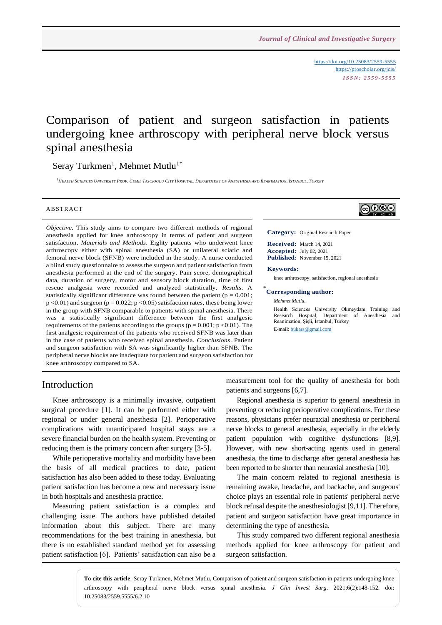<https://doi.org/10.25083/2559-5555> <https://proscholar.org/jcis/> *I S S N : 2 5 5 9 - 5 5 5 5*

# Comparison of patient and surgeon satisfaction in patients undergoing knee arthroscopy with peripheral nerve block versus spinal anesthesia

Seray Turkmen<sup>1</sup>, Mehmet Mutlu<sup>1\*</sup>

<sup>1</sup>HEALTH SCIENCES UNIVERSITY PROF. CEMIL TASCIOGLU CITY HOSPITAL, DEPARTMENT OF ANESTHESIA AND REANIMATION, ISTANBUL, TURKEY

#### **ABSTRACT**

*Objective*. This study aims to compare two different methods of regional anesthesia applied for knee arthroscopy in terms of patient and surgeon satisfaction. *Materials and Methods*. Eighty patients who underwent knee arthroscopy either with spinal anesthesia (SA) or unilateral sciatic and femoral nerve block (SFNB) were included in the study. A nurse conducted a blind study questionnaire to assess the surgeon and patient satisfaction from anesthesia performed at the end of the surgery. Pain score, demographical data, duration of surgery, motor and sensory block duration, time of first rescue analgesia were recorded and analyzed statistically. *Results*. A statistically significant difference was found between the patient ( $p = 0.001$ ;  $p$  <0.01) and surgeon ( $p$  = 0.022;  $p$  <0.05) satisfaction rates, these being lower in the group with SFNB comparable to patients with spinal anesthesia. There was a statistically significant difference between the first analgesic requirements of the patients according to the groups ( $p = 0.001$ ;  $p < 0.01$ ). The first analgesic requirement of the patients who received SFNB was later than in the case of patients who received spinal anesthesia. *Conclusions*. Patient and surgeon satisfaction with SA was significantly higher than SFNB. The peripheral nerve blocks are inadequate for patient and surgeon satisfaction for knee arthroscopy compared to SA.



**Category:** Original Research Paper

**Received:** March 14, 2021 **Accepted:** July 02, 2021 **Published:** November 15, 2021

#### **Keywords:**

knee arthroscopy, satisfaction, regional anesthesia

### \* **Corresponding author:**

*Mehmet Mutlu,*

Health Sciences University Okmeydanı Training and Research Hospital, Department of Anesthesia and Reanimation, Şişli, İstanbul, Turkey E-mail: [bukars@gmail.com](mailto:bukars@gmail.com)

## Introduction

Knee arthroscopy is a minimally invasive, outpatient surgical procedure [1]. It can be performed either with regional or under general anesthesia [2]. Perioperative complications with unanticipated hospital stays are a severe financial burden on the health system. Preventing or reducing them is the primary concern after surgery [3-5].

While perioperative mortality and morbidity have been the basis of all medical practices to date, patient satisfaction has also been added to these today. Evaluating patient satisfaction has become a new and necessary issue in both hospitals and anesthesia practice.

Measuring patient satisfaction is a complex and challenging issue. The authors have published detailed information about this subject. There are many recommendations for the best training in anesthesia, but there is no established standard method yet for assessing patient satisfaction [6]. Patients' satisfaction can also be a measurement tool for the quality of anesthesia for both patients and surgeons [6,7].

Regional anesthesia is superior to general anesthesia in preventing or reducing perioperative complications. For these reasons, physicians prefer neuraxial anesthesia or peripheral nerve blocks to general anesthesia, especially in the elderly patient population with cognitive dysfunctions [8,9]. However, with new short-acting agents used in general anesthesia, the time to discharge after general anesthesia has been reported to be shorter than neuraxial anesthesia [10].

The main concern related to regional anesthesia is remaining awake, headache, and backache, and surgeons' choice plays an essential role in patients' peripheral nerve block refusal despite the anesthesiologist [9,11]. Therefore, patient and surgeon satisfaction have great importance in determining the type of anesthesia.

This study compared two different regional anesthesia methods applied for knee arthroscopy for patient and surgeon satisfaction.

**To cite this article**: Seray Turkmen, Mehmet Mutlu. Comparison of patient and surgeon satisfaction in patients undergoing knee arthroscopy with peripheral nerve block versus spinal anesthesia. *J Clin Invest Surg*. 2021;6(2):148-152. doi: 10.25083/2559.5555/6.2.10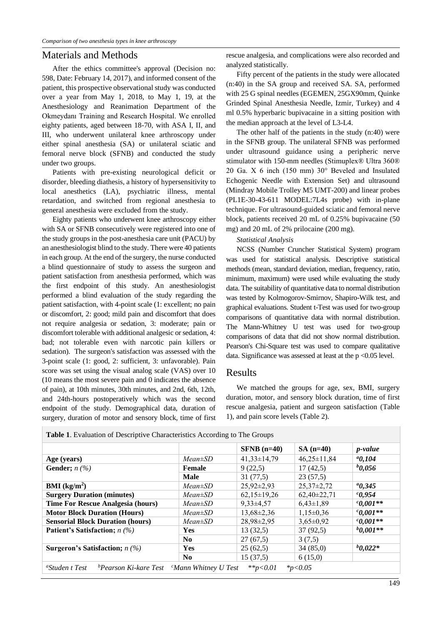#### Materials and Methods

After the ethics committee's approval (Decision no: 598, Date: February 14, 2017), and informed consent of the patient, this prospective observational study was conducted over a year from May 1, 2018, to May 1, 19, at the Anesthesiology and Reanimation Department of the Okmeydanı Training and Research Hospital. We enrolled eighty patients, aged between 18-70, with ASA I, II, and III, who underwent unilateral knee arthroscopy under either spinal anesthesia (SA) or unilateral sciatic and femoral nerve block (SFNB) and conducted the study under two groups.

Patients with pre-existing neurological deficit or disorder, bleeding diathesis, a history of hypersensitivity to local anesthetics (LA), psychiatric illness, mental retardation, and switched from regional anesthesia to general anesthesia were excluded from the study.

Eighty patients who underwent knee arthroscopy either with SA or SFNB consecutively were registered into one of the study groups in the post-anesthesia care unit (PACU) by an anesthesiologist blind to the study. There were 40 patients in each group. At the end of the surgery, the nurse conducted a blind questionnaire of study to assess the surgeon and patient satisfaction from anesthesia performed, which was the first endpoint of this study. An anesthesiologist performed a blind evaluation of the study regarding the patient satisfaction, with 4-point scale (1: excellent; no pain or discomfort, 2: good; mild pain and discomfort that does not require analgesia or sedation, 3: moderate; pain or discomfort tolerable with additional analgesic or sedation, 4: bad; not tolerable even with narcotic pain killers or sedation). The surgeon's satisfaction was assessed with the 3-point scale (1: good, 2: sufficient, 3: unfavorable). Pain score was set using the visual analog scale (VAS) over 10 (10 means the most severe pain and 0 indicates the absence of pain), at 10th minutes, 30th minutes, and 2nd, 6th, 12th, and 24th-hours postoperatively which was the second endpoint of the study. Demographical data, duration of surgery, duration of motor and sensory block, time of first rescue analgesia, and complications were also recorded and analyzed statistically.

Fifty percent of the patients in the study were allocated (n:40) in the SA group and received SA. SA, performed with 25 G spinal needles (EGEMEN, 25GX90mm, Quinke Grinded Spinal Anesthesia Needle, Izmir, Turkey) and 4 ml 0.5% hyperbaric bupivacaine in a sitting position with the median approach at the level of L3-L4.

The other half of the patients in the study (n:40) were in the SFNB group. The unilateral SFNB was performed under ultrasound guidance using a peripheric nerve stimulator with 150-mm needles (Stimuplex® Ultra 360® 20 Ga. X 6 inch (150 mm) 30° Beveled and Insulated Echogenic Needle with Extension Set) and ultrasound (Mindray Mobile Trolley M5 UMT-200) and linear probes (PL1E-30-43-611 MODEL:7L4s probe) with in-plane technique. For ultrasound-guided sciatic and femoral nerve block, patients received 20 mL of 0.25% bupivacaine (50 mg) and 20 mL of 2% prilocaine (200 mg).

#### *Statistical Analysis*

NCSS (Number Cruncher Statistical System) program was used for statistical analysis. Descriptive statistical methods (mean, standard deviation, median, frequency, ratio, minimum, maximum) were used while evaluating the study data. The suitability of quantitative data to normal distribution was tested by Kolmogorov-Smirnov, Shapiro-Wilk test, and graphical evaluations. Student t-Test was used for two-group comparisons of quantitative data with normal distribution. The Mann-Whitney U test was used for two-group comparisons of data that did not show normal distribution. Pearson's Chi-Square test was used to compare qualitative data. Significance was assessed at least at the  $p < 0.05$  level.

#### Results

We matched the groups for age, sex, BMI, surgery duration, motor, and sensory block duration, time of first rescue analgesia, patient and surgeon satisfaction (Table 1), and pain score levels (Table 2).

|                                             |                | $SFNB$ (n=40)     | $SA(n=40)$        | <i>p</i> -value |
|---------------------------------------------|----------------|-------------------|-------------------|-----------------|
| Age (years)                                 | $Mean \pm SD$  | $41,33 \pm 14,79$ | $46,25 \pm 11,84$ | $^{a}0,104$     |
| Gender; $n(\%)$                             | Female         | 9(22,5)           | 17(42,5)          | $b_{0.056}$     |
|                                             | <b>Male</b>    | 31(77,5)          | 23(57,5)          |                 |
| $BMI$ (kg/m <sup>2</sup> )                  | $Mean \pm SD$  | $25,92\pm2,93$    | $25,37\pm2,72$    | $^{a}0,345$     |
| <b>Surgery Duration (minutes)</b>           | $Mean \pm SD$  | $62,15\pm19,26$   | $62,40\pm22,71$   | $^{c}0,954$     |
| <b>Time For Rescue Analgesia (hours)</b>    | $Mean \pm SD$  | $9,33\pm4,57$     | $6,43\pm1,89$     | $^{c}0.001**$   |
| <b>Motor Block Duration (Hours)</b>         | $Mean \pm SD$  | $13,68 \pm 2,36$  | $1,15\pm0,36$     | $0.001**$       |
| <b>Sensorial Block Duration (hours)</b>     | $Mean \pm SD$  | $28,98\pm2,95$    | $3,65\pm0.92$     | $^{c}0.001**$   |
| <b>Patient's Satisfaction;</b> <i>n</i> (%) | Yes            | 13(32,5)          | 37(92,5)          | $b_{0,001**}$   |
|                                             | N <sub>0</sub> | 27(67,5)          | 3(7,5)            |                 |
| <b>Surgeron's Satisfaction;</b> $n$ (%)     | Yes            | 25(62,5)          | 34(85,0)          | $b_{0.022*}$    |
|                                             | N <sub>0</sub> | 15(37,5)          | 6(15,0)           |                 |

149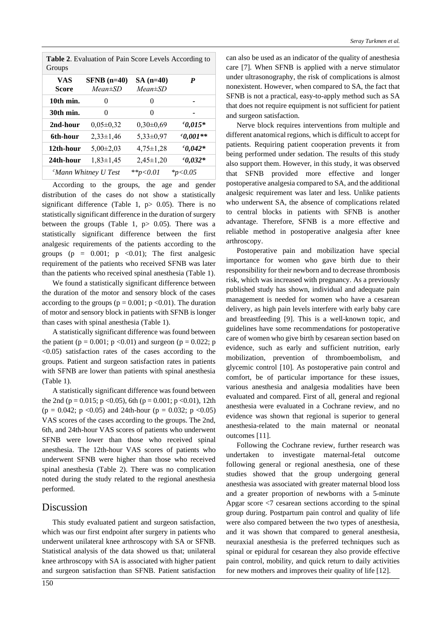|        | <b>Table 2.</b> Evaluation of Pain Score Levels According to |  |  |  |
|--------|--------------------------------------------------------------|--|--|--|
| Groups |                                                              |  |  |  |

| VAS<br><b>Score</b> | $SFNB$ (n=40)<br>$Mean \pm SD$ | $SA(n=40)$<br>$Mean \pm SD$ | P             |
|---------------------|--------------------------------|-----------------------------|---------------|
| 10th min.           | 0                              | $_{0}$                      |               |
| 30th min.           | $_{0}$                         | 0                           |               |
| 2nd-hour            | $0.05 \pm 0.32$                | $0,30\pm0,69$               | $^{c}0,015*$  |
| 6th-hour            | $2,33\pm1,46$                  | $5,33\pm0,97$               | $^{c}0.001**$ |
| 12th-hour           | $5,00\pm2,03$                  | $4,75 \pm 1,28$             | $^{c}0,042*$  |
| 24th-hour           | $1,83\pm1,45$                  | $2,45\pm1,20$               | $^{c}0,032*$  |
|                     | ${}^c$ Mann Whitney U Test     | **p<0.01                    | $*_{p<0.05}$  |
|                     |                                |                             |               |

According to the groups, the age and gender distribution of the cases do not show a statistically significant difference (Table 1,  $p$  > 0.05). There is no statistically significant difference in the duration of surgery between the groups (Table 1,  $p > 0.05$ ). There was a statistically significant difference between the first analgesic requirements of the patients according to the groups ( $p = 0.001$ ;  $p \le 0.01$ ); The first analgesic requirement of the patients who received SFNB was later than the patients who received spinal anesthesia (Table 1).

We found a statistically significant difference between the duration of the motor and sensory block of the cases according to the groups ( $p = 0.001$ ;  $p < 0.01$ ). The duration of motor and sensory block in patients with SFNB is longer than cases with spinal anesthesia (Table 1).

A statistically significant difference was found between the patient ( $p = 0.001$ ;  $p < 0.01$ ) and surgeon ( $p = 0.022$ ; p  $\langle 0.05 \rangle$  satisfaction rates of the cases according to the groups. Patient and surgeon satisfaction rates in patients with SFNB are lower than patients with spinal anesthesia (Table 1).

A statistically significant difference was found between the 2nd (p = 0.015; p < 0.05), 6th (p = 0.001; p < 0.01), 12th  $(p = 0.042; p < 0.05)$  and 24th-hour  $(p = 0.032; p < 0.05)$ VAS scores of the cases according to the groups. The 2nd, 6th, and 24th-hour VAS scores of patients who underwent SFNB were lower than those who received spinal anesthesia. The 12th-hour VAS scores of patients who underwent SFNB were higher than those who received spinal anesthesia (Table 2). There was no complication noted during the study related to the regional anesthesia performed.

#### Discussion

This study evaluated patient and surgeon satisfaction, which was our first endpoint after surgery in patients who underwent unilateral knee arthroscopy with SA or SFNB. Statistical analysis of the data showed us that; unilateral knee arthroscopy with SA is associated with higher patient and surgeon satisfaction than SFNB. Patient satisfaction

150

can also be used as an indicator of the quality of anesthesia care [7]. When SFNB is applied with a nerve stimulator under ultrasonography, the risk of complications is almost nonexistent. However, when compared to SA, the fact that SFNB is not a practical, easy-to-apply method such as SA that does not require equipment is not sufficient for patient and surgeon satisfaction.

Nerve block requires interventions from multiple and different anatomical regions, which is difficult to accept for patients. Requiring patient cooperation prevents it from being performed under sedation. The results of this study also support them. However, in this study, it was observed that SFNB provided more effective and longer postoperative analgesia compared to SA, and the additional analgesic requirement was later and less. Unlike patients who underwent SA, the absence of complications related to central blocks in patients with SFNB is another advantage. Therefore, SFNB is a more effective and reliable method in postoperative analgesia after knee arthroscopy.

Postoperative pain and mobilization have special importance for women who gave birth due to their responsibility for their newborn and to decrease thrombosis risk, which was increased with pregnancy. As a previously published study has shown, individual and adequate pain management is needed for women who have a cesarean delivery, as high pain levels interfere with early baby care and breastfeeding [9]. This is a well-known topic, and guidelines have some recommendations for postoperative care of women who give birth by cesarean section based on evidence, such as early and sufficient nutrition, early mobilization, prevention of thromboembolism, and glycemic control [10]. As postoperative pain control and comfort, be of particular importance for these issues, various anesthesia and analgesia modalities have been evaluated and compared. First of all, general and regional anesthesia were evaluated in a Cochrane review, and no evidence was shown that regional is superior to general anesthesia-related to the main maternal or neonatal outcomes [11].

Following the Cochrane review, further research was undertaken to investigate maternal-fetal outcome following general or regional anesthesia, one of these studies showed that the group undergoing general anesthesia was associated with greater maternal blood loss and a greater proportion of newborns with a 5-minute Apgar score <7 cesarean sections according to the spinal group during. Postpartum pain control and quality of life were also compared between the two types of anesthesia, and it was shown that compared to general anesthesia, neuraxial anesthesia is the preferred techniques such as spinal or epidural for cesarean they also provide effective pain control, mobility, and quick return to daily activities for new mothers and improves their quality of life [12].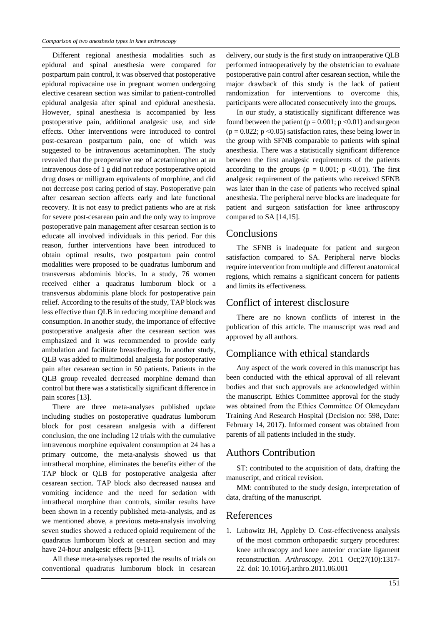Different regional anesthesia modalities such as epidural and spinal anesthesia were compared for postpartum pain control, it was observed that postoperative epidural ropivacaine use in pregnant women undergoing elective cesarean section was similar to patient-controlled epidural analgesia after spinal and epidural anesthesia. However, spinal anesthesia is accompanied by less postoperative pain, additional analgesic use, and side effects. Other interventions were introduced to control post-cesarean postpartum pain, one of which was suggested to be intravenous acetaminophen. The study revealed that the preoperative use of acetaminophen at an intravenous dose of 1 g did not reduce postoperative opioid drug doses or milligram equivalents of morphine, and did not decrease post caring period of stay. Postoperative pain after cesarean section affects early and late functional recovery. It is not easy to predict patients who are at risk for severe post-cesarean pain and the only way to improve postoperative pain management after cesarean section is to educate all involved individuals in this period. For this reason, further interventions have been introduced to obtain optimal results, two postpartum pain control modalities were proposed to be quadratus lumborum and transversus abdominis blocks. In a study, 76 women received either a quadratus lumborum block or a transversus abdominis plane block for postoperative pain relief. According to the results of the study, TAP block was less effective than QLB in reducing morphine demand and consumption. In another study, the importance of effective postoperative analgesia after the cesarean section was emphasized and it was recommended to provide early ambulation and facilitate breastfeeding. In another study, QLB was added to multimodal analgesia for postoperative pain after cesarean section in 50 patients. Patients in the QLB group revealed decreased morphine demand than control but there was a statistically significant difference in pain scores [13].

There are three meta-analyses published update including studies on postoperative quadratus lumborum block for post cesarean analgesia with a different conclusion, the one including 12 trials with the cumulative intravenous morphine equivalent consumption at 24 has a primary outcome, the meta-analysis showed us that intrathecal morphine, eliminates the benefits either of the TAP block or QLB for postoperative analgesia after cesarean section. TAP block also decreased nausea and vomiting incidence and the need for sedation with intrathecal morphine than controls, similar results have been shown in a recently published meta-analysis, and as we mentioned above, a previous meta-analysis involving seven studies showed a reduced opioid requirement of the quadratus lumborum block at cesarean section and may have 24-hour analgesic effects [9-11].

All these meta-analyses reported the results of trials on conventional quadratus lumborum block in cesarean delivery, our study is the first study on intraoperative QLB performed intraoperatively by the obstetrician to evaluate postoperative pain control after cesarean section, while the major drawback of this study is the lack of patient randomization for interventions to overcome this, participants were allocated consecutively into the groups.

In our study, a statistically significant difference was found between the patient ( $p = 0.001$ ;  $p < 0.01$ ) and surgeon  $(p = 0.022; p < 0.05)$  satisfaction rates, these being lower in the group with SFNB comparable to patients with spinal anesthesia. There was a statistically significant difference between the first analgesic requirements of the patients according to the groups ( $p = 0.001$ ;  $p \lt 0.01$ ). The first analgesic requirement of the patients who received SFNB was later than in the case of patients who received spinal anesthesia. The peripheral nerve blocks are inadequate for patient and surgeon satisfaction for knee arthroscopy compared to SA [14,15].

#### Conclusions

The SFNB is inadequate for patient and surgeon satisfaction compared to SA. Peripheral nerve blocks require intervention from multiple and different anatomical regions, which remains a significant concern for patients and limits its effectiveness.

#### Conflict of interest disclosure

There are no known conflicts of interest in the publication of this article. The manuscript was read and approved by all authors.

## Compliance with ethical standards

Any aspect of the work covered in this manuscript has been conducted with the ethical approval of all relevant bodies and that such approvals are acknowledged within the manuscript. Ethics Committee approval for the study was obtained from the Ethics Committee Of Okmeydanı Training And Research Hospital (Decision no: 598, Date: February 14, 2017). Informed consent was obtained from parents of all patients included in the study.

#### Authors Contribution

ST: contributed to the acquisition of data, drafting the manuscript, and critical revision.

MM: contributed to the study design, interpretation of data, drafting of the manuscript.

#### References

1. Lubowitz JH, Appleby D. Cost-effectiveness analysis of the most common orthopaedic surgery procedures: knee arthroscopy and knee anterior cruciate ligament reconstruction. *Arthroscopy*. 2011 Oct;27(10):1317- 22. doi: 10.1016/j.arthro.2011.06.001